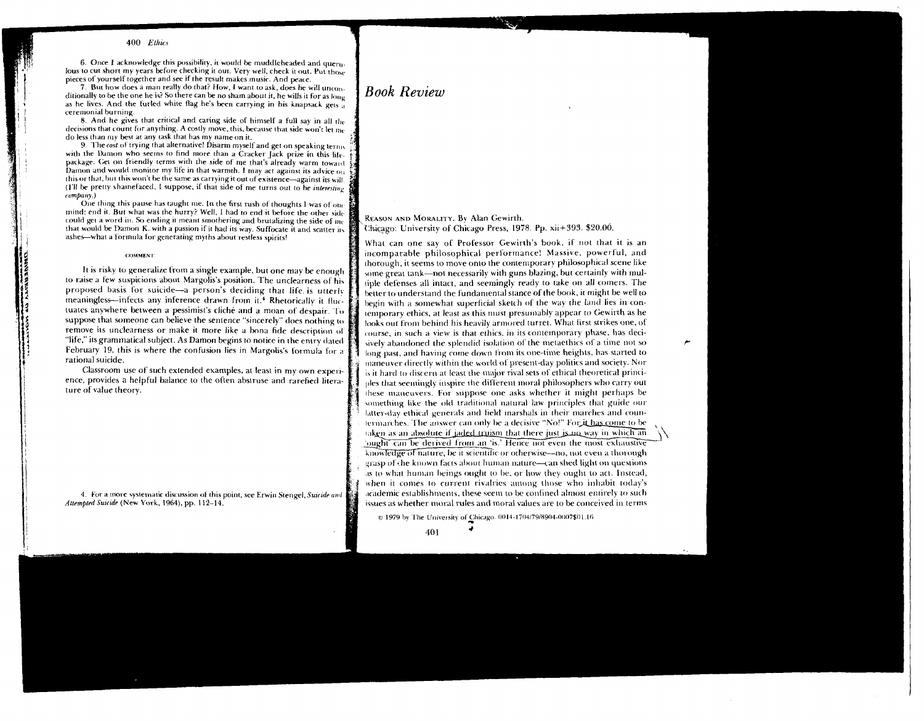6. Once I acknowledge this possibility, it would be muddleheaded and queru. lous to cut short my years before checking it out. Very well, check it out. Put those pieces of yourself together and see if the result makes music. And peace.

7. But how does a man really do that? How, I want to ask, does he will unconditionally to be the one he is? So there can be no sham about it, he wills it for as  $\{g_{\mu\nu}\}$ as he lives. And the furled white flag he's been carrying in his knapsack gets as ceremonial burning.

8. And he gives that critical and caring side of himself a full say in all the decisions that count for anything. A costly move, this, because that side won't let me do less than my best at any task that has my name on it.

9. The cost of trying that alternative! Disarm myself and get on speaking terms. with the Damon who seems to find more than a Cracker Jack prize in this life. package. Get on friendly terms with the side of me that's already warm toward Damon and would monitor my life in that warmth. I may act against its advice  $\delta_{\rm R}$ this or that, but this won't be the same as carrying it out of existence-against its will. (1'll be pretty shannefaced, I suppose, if that side of me turns out to he interesting  $\epsilon$  *company*.)

One thing this pause has taught me. In the first rush of thoughts I was of onemind: end it. But what was the hurry? Well, I had to end it before the other side could get a word in. So ending it meant smothering and brutalizing the side of me that would be Damon K. with a passion if it had its way. Suffocate it and scatter its ashes-what a formula for generating myths about restless spirits!

#### **COMMENT**

It is risky to generalize from a single example, but one may be enough to raise a few suspicions about Margolis's position. The unclearness of his proposed basis for suicide-a person's deciding that life is utterly meaningless—infects any inference drawn from it.<sup>4</sup> Rhetorically it *Huc*tuates anywhere between a pessimist's cliché and a moan of despair. To suppose that someone can helieve the sentence "sincerely" does nothing to remove its unclearness or make it more like a bona fide description of "life," itsgramrnatical subject. As Damon begins to notice in the entry dated February 19, this is where the confusion lies in Margolis's formula for a rational suicide.

Classroom use of' such extended examples, at least in my own experlence, provides a helpful balance to the often abstruse and rarefied literature of value theory.

4. For a more systematic discussion of this point, see Erwin Stengel, Suicide and Attempted Suicide (New York, 1964), pp. 112-14.

REASON AND MORALITY. By Alan Gewirth. Chicago: University of Chicago Press, 1978. Pp. xii+393. \$20.00.

What can one say of Professor Gewirth's book, if not that it is an incomparable philosophical performance! Massive, powerful, and thorough, it seems to move onto the contemporary philosophical scene like wme great tank-not necessarily with guns blazing, but certainly with multiple defenses all intact, and seemingly ready to take on all comers. The better to understand the fundamental stance of the book, it might be well to hegin with a somewhat superficial sketch of the way the land lies in contemporary ethics, at least as this must presumably appear to Gewirth as he looks out from behind his heavily armored turret. What first strikes one, of course, in such a view is that ethics. in its contemporary phase, has decisively abandoned the splendid isolation of the metacthics of a time not so long past, and having come down from its one-time heights, has started to maneuver directly within the world of present-day politics and society. Nor  $\bar{\ }$  is it hard to discern at least the major rival sets of ethical theoretical principles that securingly inspire the different moral philosophers who carry out ples that seemingly inspire the different moral philosophers who carry out<br>these maneuvers. For suppose one asks whether it might perhaps be<br>something like the old traditional natural law principles that guide our<br>latter-d something like the old traditional natural law principles that guide our  $latter$ -day ethical generals and field marshals in their marches and coun-1crmarches. The answer can only be a decisive "No!" For  $\frac{i}{\mu}$  has come to be, taken as an absolute if jaded truism that there just is no way in which an ought can be derived from an 'is.' Hence not even the most exhaustive knowledge of nature, be it scientific or otherwise--no, not even a thorough grasp of the known facts about human nature-can shed light on questions as to what human beings ought to be, or how they ought to act. Instead, when it comes to current rivalries among those who inhabit today's  $\alpha$  academic establishments, these seem to be confined almost entirely to such issues as whether moral rules and moral values are to be conceived in terms

@ 1979 by The University of Chicago. 0014-1704/79/8904-0007\$01.16

401

# *Book Review*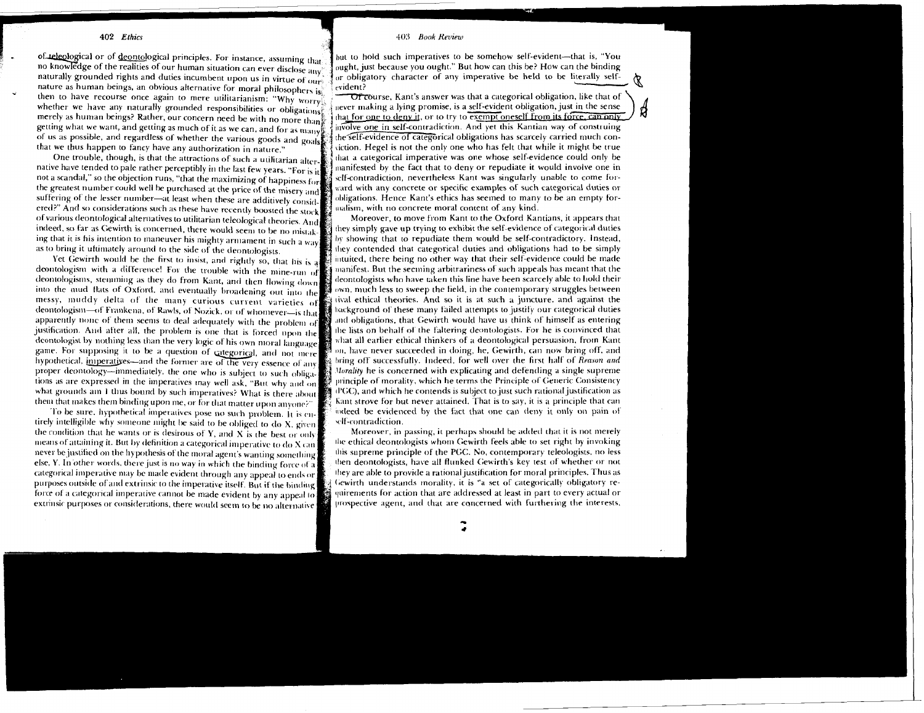of teleological or of deontological principles. For instance, assuming that no knowledge of the realities of our human situation can ever disclose any naturally grounded rights and duties incumbent upon us in virtue of  $_{011x}$ nature as human beings, an obvious alternative for moral philosophers is then to have recourse once again to mere utilitarianism: "Why worry whether we have any naturally grounded responsibilities or obligations? merely as human beings? Rather, our concern need be with no more than getting what we want, and getting as much of it as we can, and for as many of us as possible, and regardless of whether the various goods and goals that we thus happen to fancy have any authorization in nature."

One trouble, though, is that the attractions of such a utilitarian alternative have tended to pale rather perceptibly in the last few years. "For is it not a scandal," so the objection runs, "that the maximizing of happiness for the greatest number could well be purchased at the price of the misery and suffering of the lesser number—at least when these are additively considered?" And so considerations such as these have recently boosted the stock of various deontological alternatives to utilitarian teleological theories. And indeed, so far as Gewirth is concerned, there would seem to be no mistaking that it is his intention to maneuver his mighty armament in such a way as to bring it uftimately around to the side of the deontologists.

Yet Gewirth would be the first to insist, and rightly so, that his is a deontologism with a difference! For the trouble with the mine-run of deontologisms, stemming as they do from Kant, and then flowing down into the mud flats of Oxford, and eventually broadening out into the messy, muddy delta of the many curious current varieties of deontologism-of Frankena, of Rawls, of Nozick, or of whomever-is that apparently none of them seems to deal adequately with the problem of iustification. And after all, the problem is one that is forced upon the deontologist by nothing less than the very logic of his own moral language game. For supposing it to be a question of categorical, and not mere hypothetical, imperatives-and the former are of the very essence of any proper deontology-immediately, the one who is subject to such obligations as are expressed in the imperatives may well ask, "But why and on what grounds am 1 thus bound by such imperatives? What is there about them that makes them binding upon me, or for that matter upon anyone?"

To be sure, hypothetical imperatives pose no such problem. It is entirely intelligible why someone might be said to be obliged to do X, given the condition that he wants or is desirous of  $Y$ , and  $X$  is the best or only means of attaining it. But by definition a categorical imperative to do X can never be justified on the hypothesis of the moral agent's wanting something else, Y. In other words, there just is no way in which the binding force of a categorical imperative may be made evident through any appeal to ends or purposes outside of and extrinsic to the imperative itself. But if the binding force of a categorical imperative cannot be made evident by any appeal to extrinsic purposes or considerations, there would seem to be no alternative

#### 403 Book Review

but to hold such imperatives to be somehow self-evident—that is, "You ought, just because you ought." But how can this be? How can the binding or obligatory character of any imperative be held to be literally selfevident?

Of course. Kant's answer was that a categorical obligation, like that of  $_{\text{never}}$  making a lying promise, is a self-evident obligation, just in the sense that for one to deny it, or to try to exempt oneself from its force, can only involve one in self-contradiction. And yet this Kantian way of construing the self-evidence of categorical obligations has scarcely carried much conviction. Hegel is not the only one who has felt that while it might be true that a categorical imperative was one whose self-evidence could only be manifested by the fact that to deny or repudiate it would involve one in self-contradiction, nevertheless Kant was singularly unable to come forward with any concrete or specific examples of such categorical duties or obligations. Hence Kant's ethics has seemed to many to be an empty formalism, with no concrete moral content of any kind.

Moreover, to move from Kant to the Oxford Kantians, it appears that they simply gave up trying to exhibit the self-evidence of categorical duties by showing that to repudiate them would be self-contradictory. Instead, they contended that categorical duties and obligations had to be simply intuited, there being no other way that their self-evidence could be made manifest. But the seeming arbitrariness of such appeals has meant that the deontologists who have taken this line have been scarcely able to hold their  $\omega$  own, much less to sweep the field, in the contemporary struggles between it rival ethical theories. And so it is at such a juncture, and against the background of these many failed attempts to justify our categorical duties and obligations, that Gewirth would have us think of himself as entering the lists on behalf of the faltering deontologists. For he is convinced that what all earlier ethical thinkers of a deontological persuasion, from Kant on, have never succeeded in doing, he, Gewirth, can now bring off, and bring off successfully. Indeed, for well over the first half of Reason and Morality he is concerned with explicating and defending a single supreme winciple of morality, which he terms the Principle of Generic Consistency (PGC), and which he contends is subject to just such rational justification as Kant strove for but never attained. That is to say, it is a principle that can indeed be evidenced by the fact that one can deny it only on pain of self-contradiction.

Moreover, in passing, it perhaps should be added that it is not merely the ethical deontologists whom Gewirth feels able to set right by invoking this supreme principle of the PGC. No, contemporary teleologists, no less then deontologists, have all flunked Gewirth's key test of whether or not they are able to provide a rational justification for moral principles. Thus as Gewirth understands morality, it is "a set of categorically obligatory requirements for action that are addressed at least in part to every actual or prospective agent, and that are concerned with furthering the interests,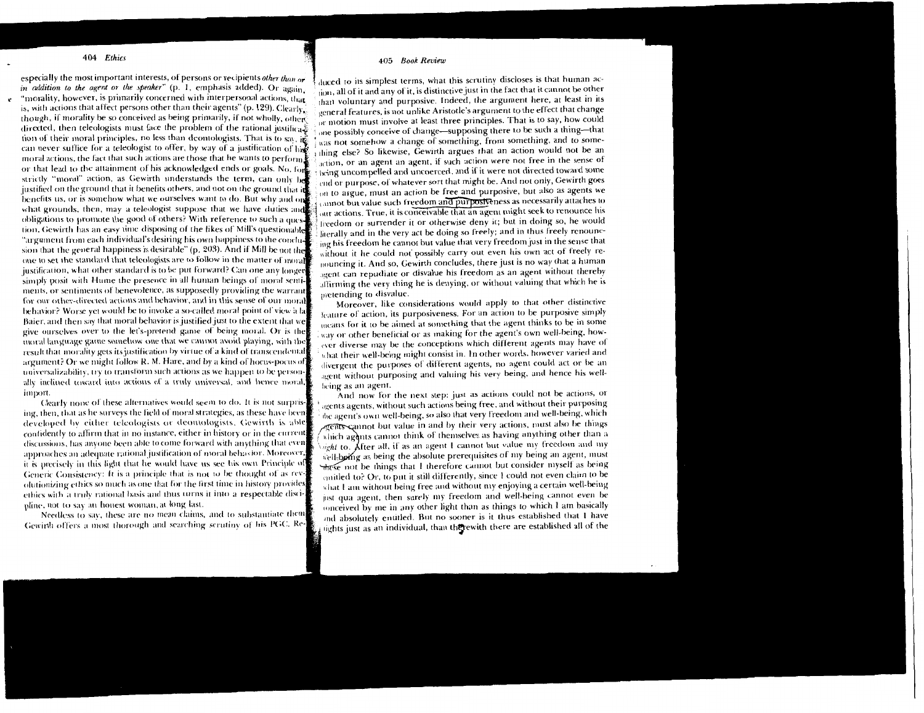especially the most important interests, of persons or recipients other than or in addition to the agent or the speaker" (p. 1, emphasis added). Or again, e "morality, however, is primarily concerned with interpersonal actions, that is, with actions that affect persons other than their agents" (p. 129). Clearly, though, if morality be so conceived as being primarily, if not wholly, other directed, then teleologists must face the problem of the rational justifica. tion of their moral principles, no less than deontologists. That is to say, it can never suffice for a teleologist to offer, by way of a justification of his moral actions, the fact that such actions are those that he wants to perform or that lead to the attainment of his acknowledged ends or goals. No, for strictly "moral" action, as Gewirth understands the term, can only h justified on the ground that it benefits others, and not on the ground that in benefits us, or is somehow what we ourselves want to do. But why and on what grounds, then, may a teleologist suppose that we have duties and obligations to promote the good of others? With reference to such a question, Gewirth has an easy time disposing of the likes of Mill's questionable "argument from each individual's desiring his own happiness to the conclusion that the general happiness is desirable" (p. 203). And if Mill be not the one to set the standard that teleologists are to follow in the matter of moral justification, what other standard is to be put forward? Can one any longer simply posit with Hume the presence in all human beings of moral sentiments, or sentiments of benevolence, as supposedly providing the warrant for our other-directed actions and behavior, and in this sense of our moral behavior? Worse yet would be to invoke a so-called moral point of view a la Baier, and then say that moral behavior is justified just to the extent that we give ourselves over to the let's-pretend game of being moral. Or is the moral language game somehow one that we cannot avoid playing, with the result that morality gets its justification by virtue of a kind of transcendental argument? Or we might follow R. M. Hare, and by a kind of hocus-pocus of universalizability, try to transform such actions as we happen to be personally inclined toward into actions of a truly universal, and hence moral, import.

Clearly none of these alternatives would seem to do. It is not surprising, then, that as he surveys the field of moral strategies, as these have been developed by either teleologists or deoutologists. Gewirth is able confidently to affirm that in no instance, either in history or in the current discussions, has anyone been able to come forward with anything that even approaches an adequate rational justification of moral behavior. Moreover, it is precisely in this light that he would have us see his own Principle of Generic Consistency: It is a principle that is not to be thought of as revolutionizing ethics so much as one that for the first time in history provides ethics with a truly rational basis and thus turns it into a respectable discipline, not to say an houest woman, at long last.

Needless to say, these are no mean claims, and to substantiate them Gewirth offers a most thorough and searching scrutiny of his PGC. Re-

# 405 Book Review

duced to its simplest terms, what this scrutiny discloses is that human action, all of it and any of it, is distinctive just in the fact that it cannot be other than voluntary and purposive. Indeed, the argument here, at least in its general features, is not unlike Aristotle's argument to the effect that change or motion must involve at least three principles. That is to say, how could one possibly conceive of change—supposing there to be such a thing—that was not somehow a change of something, from something, and to something else? So likewise, Gewirth argues that an action would not be an action, or an agent an agent, if such action were not free in the sense of being uncompelled and uncoerced, and if it were not directed toward some end or purpose, of whatever sort that might be. And not only, Gewirth goes on to argue, must an action be free and purposive, but also as agents we cannot but value such freedom and purposiveness as necessarily attaches to our actions. True, it is conceivable that an agent might seek to renounce his freedom or surrender it or otherwise deny it; but in doing so, he would literally and in the very act be doing so freely; and in thus freely renouncing his freedom he cannot but value that very freedom just in the sense that without it he could not possibly carry out even his own act of freely renouncing it. And so, Gewirth concludes, there just is no way that a human agent can repudiate or disvalue his freedom as an agent without thereby affirming the very thing he is denying, or without valuing that which he is pretending to disvalue.

Moreover, like considerations would apply to that other distinctive leature of action, its purposiveness. For an action to be purposive simply means for it to be aimed at something that the agent thinks to be in some way or other beneficial or as making for the agent's own well-being, however diverse may be the conceptions which different agents may have of what their well-being might consist in. In other words, however varied and divergent the purposes of different agents, no agent could act or be an agent without purposing and valuing his very being, and hence his wellbeing as an agent.

And now for the next step: just as actions could not be actions, or agents agents, without such actions being free, and without their purposing the agent's own well-being, so also that very freedom and well-being, which agents cannot but value in and by their very actions, must also be things which agents cannot think of themselves as having anything other than a ight to. After all, if as an agent I cannot but value my freedom and my well-being as being the absolute prerequisites of my being an agent, must these not be things that I therefore cannot but consider myself as being emitled to? Or, to put it still differently, since 1 could not even claim to be what I am without being free and without my enjoying a certain well-being just qua agent, then surely my freedom and well-being cannot even be tonceived by me in any other light than as things to which I am basically and absolutely entitled. But no sooner is it thus established that I have lights just as an individual, than therewith there are established all of the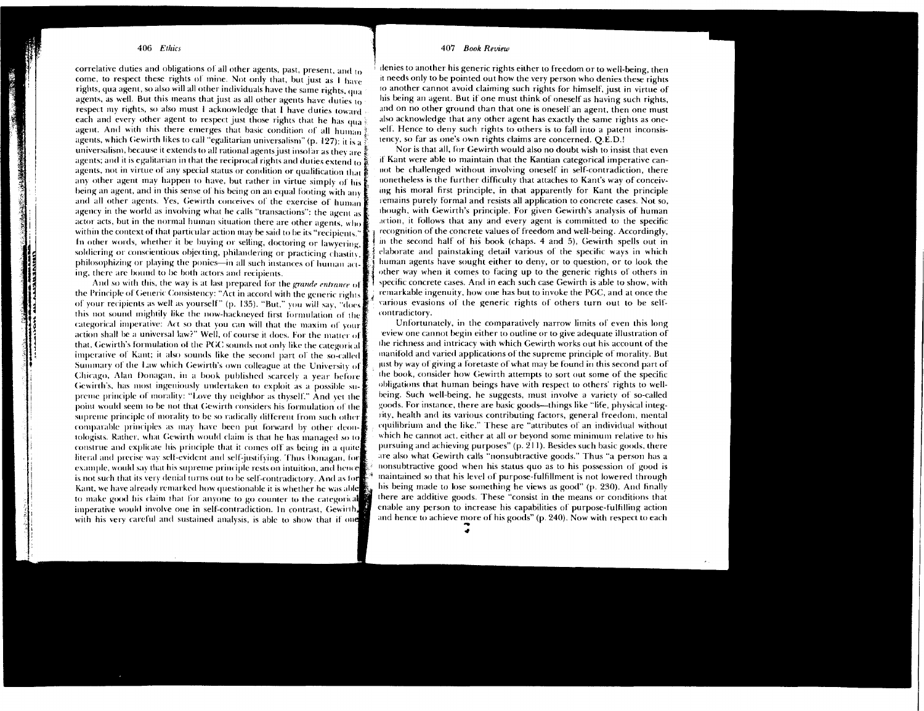correlative duties and obligations of all other agents, past, present, and to come, to respect these rights of mine. Not only that, but just as I have rights, qua agent, so also will all other individuals have the same rights, qua agents, as well. But this means that just as all other agents have duties to respect my rights, so also must I acknowledge that I have duties toward each and every other agent to respect just those rights that he has qua agent. And with this there emerges that basic condition of all human? agents, which Gewirth likes to call "egalitarian universalism" (p. 127): it is a universalism, because it extends to all rational agents just insofar as they are  $\frac{3}{4}$ agents; and it is egalitarian in that the reciprocal rights and duties extend to agents, not in virtue of any special status or condition or qualification that any other agent may happen to have, but rather in virtue simply of his being an agent, and in this sense of his being on an equal footing with any and all other agents. Yes, Gewirth conceives of the exercise of human agency in the world as involving what he calls "transactions": the agent as actor acts, but in the normal human situation there are other agents, who within the context of that particular action may be said to be its "recipients." In other words, whether it be buying or selling, doctoring or lawyering, soldiering or conscientious objecting, philandering or practicing chastiv philosophizing or playing the ponies—in all such instances of human act ing, there are bound to be both actors and recipients.

And so with this, the way is at last prepared for the grande entrance of the Principle of Generic Consistency: "Act in accord with the generic rights of your recipients as well as yourself" (p. 135). "But," you will say, "does this not sound mightily like the now-hackneyed first formulation of the categorical imperative: Act so that you can will that the maxim of your action shall be a universal law?" Well, of course it does. For the matter of that, Gewirth's formulation of the PGC sounds not only like the categorical imperative of Kant; it also sounds like the second part of the so-called Summary of the Law which Gewirth's own colleague at the University of Chicago, Alan Donagan, in a book published scarcely a year before Gewirth's, has most ingeniously undertaken to exploit as a possible supreme principle of morality: "Love thy neighbor as thyself." And yet the point would seem to be not that Gewirth considers his formulation of the supreme principle of morality to be so radically different from such other comparable principles as may have been put forward by other deontologists. Rather, what Gewirth would claim is that he has managed so to construe and explicate his principle that it comes off as being in a quite literal and precise way self-evident and self-justifying. Thus Donagan, for example, would say that his supreme principle rests on intuition, and hence is not such that its very denial turns out to be self-contradictory. And as for Kant, we have already remarked how questionable it is whether he was able to make good his claim that for anyone to go counter to the categorical imperative would involve one in self-contradiction. In contrast, Gewirth, with his very careful and sustained analysis, is able to show that if one

# 407 Book Review

denies to another his generic rights either to freedom or to well-being, then it needs only to be pointed out how the very person who denies these rights to another cannot avoid claiming such rights for himself, just in virtue of his being an agent. But if one must think of oneself as having such rights, and on no other ground than that one is oneself an agent, then one must also acknowledge that any other agent has exactly the same rights as oneself. Hence to deny such rights to others is to fall into a patent inconsistency, so far as one's own rights claims are concerned. O.E.D.!

Nor is that all, for Gewirth would also no doubt wish to insist that even if Kant were able to maintain that the Kantian categorical imperative cannot be challenged without involving oneself in self-contradiction, there nonetheless is the further difficulty that attaches to Kant's way of conceiving his moral first principle, in that apparently for Kant the principle remains purely formal and resists all application to concrete cases. Not so, though, with Gewirth's principle. For given Gewirth's analysis of human action, it follows that any and every agent is committed to the specific recognition of the concrete values of freedom and well-being. Accordingly, in the second half of his book (chaps. 4 and 5), Gewirth spells out in elaborate and painstaking detail various of the specific ways in which human agents have sought either to deny, or to question, or to look the other way when it comes to facing up to the generic rights of others in specific concrete cases. And in each such case Gewirth is able to show, with remarkable ingenuity, how one has but to invoke the PGC, and at once the various evasions of the generic rights of others turn out to be selfcontradictory.

Unfortunately, in the comparatively narrow limits of even this long eview one cannot begin either to outline or to give adequate illustration of the richness and intricacy with which Gewirth works out his account of the manifold and varied applications of the supreme principle of morality. But just by way of giving a foretaste of what may be found in this second part of the book, consider how Gewirth attempts to sort out some of the specific obligations that human beings have with respect to others' rights to wellbeing. Such well-being, he suggests, must involve a variety of so-called goods. For instance, there are basic goods—things like "life, physical integrity, health and its various contributing factors, general freedom, mental equilibrium and the like." These are "attributes of an individual without which he cannot act, either at all or beyond some minimum relative to his pursuing and achieving purposes" (p. 211). Besides such basic goods, there are also what Gewirth calls "nonsubtractive goods." Thus "a person has a nonsubtractive good when his status quo as to his possession of good is maintained so that his level of purpose-fulfillment is not lowered through his being made to lose something he views as good" (p. 230). And finally there are additive goods. These "consist in the means or conditions that enable any person to increase his capabilities of purpose-fulfilling action and hence to achieve more of his goods" (p. 240). Now with respect to each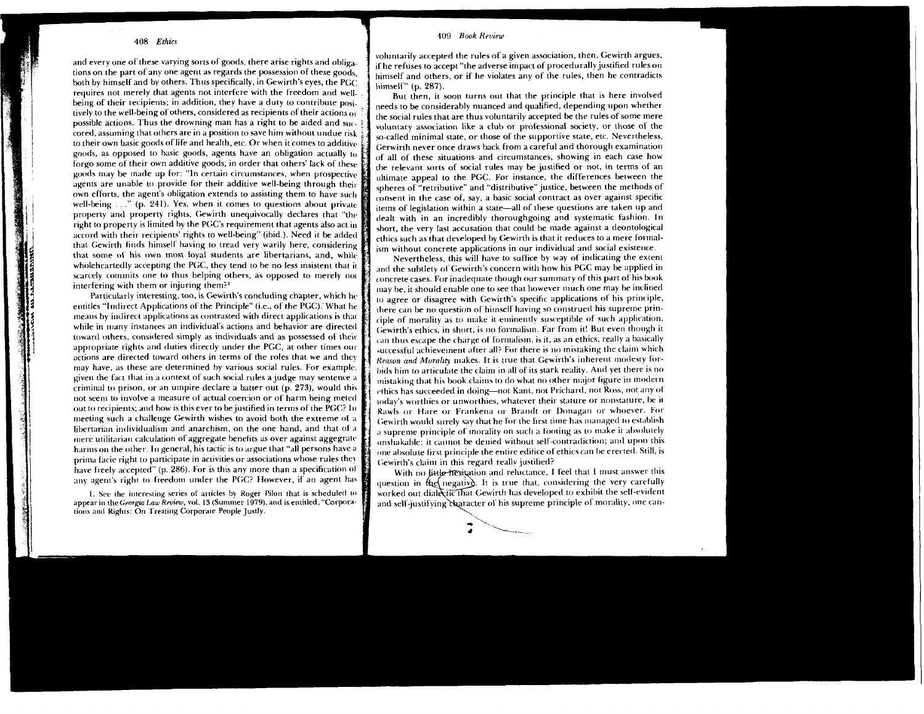and every one of these varying sorts of goods, there arise rights and obligations on the part of any one agent as regards the possession of these goods. both by himself and by others. Thus specifically, in Gewirth's eyes, the PGC requires not merely that agents not interfere with the freedom and well. being of their recipients; in addition, they have a duty to contribute positively to the well-being of others, considered as recipients of their actions or possible actions. Thus the drowning man has a right to be aided and succored, assuming that others are in a position to save him without undue risk to their own basic goods of life and health, etc. Or when it comes to additive goods, as opposed to basic goods, agents have an obligation actually to forgo some of their own additive goods, in order that others' lack of these goods may be made up for: "In certain circumstances, when prospective agents are unable to provide for their additive well-being through their own efforts, the agent's obligation extends to assisting them to have such well-being ..." (p. 241). Yes, when it comes to questions about private property and property rights, Gewirth unequivocally declares that "the right to property is limited by the PGC's requirement that agents also act in accord with their recipients' rights to well-being" (ibid.). Need it be added that Gewirth finds himself having to tread very warily here, considering that some of his own most foval students are libertarians, and, while wholeheartedly accepting the PGC, they tend to be no less insistent that in scarcely commits one to thus helping others, as opposed to merely not interfering with them or injuring them?<sup>1</sup>

Particularly interesting, too, is Gewirth's concluding chapter, which he entitles "Indirect Applications of the Principle" (i.e., of the PGC). What he means by indirect applications as contrasted with direct applications is that while in many instances an individual's actions and behavior are directed toward others, considered simply as individuals and as possessed of their appropriate rights and duties directly under the PGC, at other times our actions are directed toward others in terms of the roles that we and they may have, as these are determined by various social rules. For example, given the fact that in a context of such social rules a judge may sentence a criminal to prison, or an umpire declare a batter out (p. 273), would this not seem to involve a measure of actual coercion or of harm being meted out to recipients: and how is this ever to be justified in terms of the PGC? In meeting such a challenge Gewirth wishes to avoid both the extreme of a libertarian individualism and anarchism, on the one hand, and that of a mere utilitarian calculation of aggregate benefits as over against aggegrate harms on the other. In general, his tactic is to argue that "all persons have a prima facie right to participate in activities or associations whose rules they have freely accepted" (p. 286). For is this any more than a specification of any agent's right to freedom under the PGC? However, if an agent has

1. See the interesting series of articles by Roger Pilon that is scheduled to appear in the Georgia Law Review, vol. 13 (Summer 1979), and is entitled, "Corporations and Rights: On Treating Corporate People Justly.

#### 409 Book Review

voluntarify accepted the rules of a given association, then, Gewirth argues. if he refuses to accept "the adverse impact of procedurally justified rules on himself and others, or if he violates any of the rules, then he contradicts himself" (p. 287).

But then, it soon turns out that the principle that is here involved needs to be considerably nuanced and qualified, depending upon whether the social rules that are thus voluntarily accepted be the rules of some mere voluntary association like a club or professional society, or those of the so-called minimal state, or those of the supportive state, etc. Nevertheless, Gerwirth never once draws back from a careful and thorough examination of all of these situations and circumstances, showing in each case how the relevant sorts of social rules may be justified or not, in terms of an ultimate appeal to the PGC. For instance, the differences between the spheres of "retributive" and "distributive" justice, between the methods of consent in the case of, say, a basic social contract as over against specific items of legislation within a state-all of these questions are taken up and dealt with in an incredibly thoroughgoing and systematic fashion. In short, the very last accusation that could be made against a deontological ethics such as that developed by Gewirth is that it reduces to a mere formalism without concrete applications in our individual and social existence.

Nevertheless, this will have to suffice by way of indicating the extent and the subtlety of Gewirth's concern with how his PGC may be applied in concrete cases. For inadequate though our summary of this part of his book may be, it should enable one to see that however much one may be inclined to agree or disagree with Gewirth's specific applications of his principle, there can be no question of himself having so construed his supreme principle of morality as to make it eminently susceptible of such application. Gewirth's ethics, in short, is no formalism. Far from it! But even though it can thus escape the charge of formalism, is it, as an ethics, really a basically successful achievement after all? For there is no mistaking the claim which Reason and Morality makes. It is true that Gewirth's inherent modesty forbids him to articulate the claim in all of its stark reality. And yet there is no mistaking that his book claims to do what no other major figure in modern ethics has succeeded in doing-not Kant, not Prichard, not Ross, not any of today's worthies or unworthies, whatever their stature or nonstature, be it Rawls or Hare or Frankena or Brandt or Donagan or whoever. For Gewirth would surely say that he for the first time has managed to establish a supreme principle of morality on such a footing as to make it absolutely unshakable: it cannot be denied without self-contradiction; and upon this one absolute first principle the entire edifice of ethics can be erected. Still, is Gewirth's claim in this regard really justified?

With no little hesitation and reluctance. I feel that I must answer this question in the negative. It is true that, considering the very carefully worked out dialectic that Gewirth has developed to exhibit the self-evident and self-justifying character of his supreme principle of morality, one can-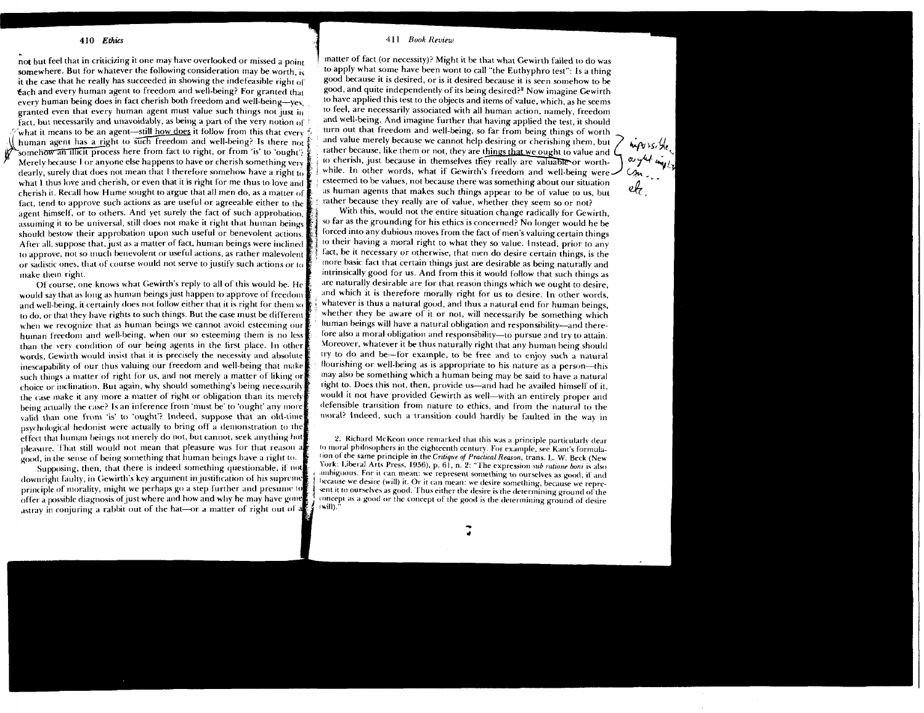not but feel that in criticizing it one may have overlooked or missed a point somewhere. But for whatever the following consideration may be worth, is it the case that he really has succeeded in showing the indefeasible right of Each and every human agent to freedom and well-being? For granted that every human being does in fact cherish both freedom and well-being--ves. granted even that every human agent must value such things not just in fact, but necessarily and unavoidably, as being a part of the very notion of what it means to be an agent---still how does it follow from this that every  $\sqrt{\frac{1}{n}}$  human agent has a right to such freedom and well-being? Is there not somehow an illicit process here from fact to right, or from 'is' to 'ought'? Merely because 1 or anyone else happens to have or cherish something very dearly, surely that does not mean that 1 therefore somehow have a right to what I thus love and cherish, or even that it is right for me thus to love and cherish it. Kecall how Hume sought to argue that all men do, as a matter **<sup>t</sup>** fact, tend to approve such actions as are useful or agreeable either to the agent himself, or to others. And yet surely the fact of such approbation assuming it to be universal, still does not make it right that human beings should bestow their approbation upon such useful or benevolent actions. After all, suppose that, just as a matter of fact, human beings were inclined to approve, not so much benevolent or useful actions, as rather malevolent or sadistic ones, that of course would not serve to justify such actions or  $\alpha$ mate them right.

Of course, one knows what Gewirth's reply to all of this would be. He would say that as long as human beings just happen to approve of freedom and well-being, it certainly does not follow either that it is right for them so to do, or that they have rights to such things. But the case must be different when we recognize that as human beings we cannot avoid esteeming our huinan freedom and well-being, when our so esteeming them is no less than the very condition of our being agents in the first place. In other words, Gewirth would insist that it is precisely the necessity and absolute inescapability of our thus valuing our freedom and well-being that make such things a matter of right for us, and not merely a matter of liking or choice or inclination. But again, why should something's being necessarily the case make it any more a matter of right or obligation than its merely being actually the case? Is an inference from 'must be' to 'ought' any more valid than one from 'is' to 'ought'? Indeed, suppose that an old-time psychological hedonist were actually to bring off a demonstration to the effect that human beings not merely do not, but cannot, seek anything hut pleasure. That still would not mean that pleasure was for that reason a good, in the sense of being something that human beings have a right to.

Supposing, then, that there is indeed something questionable, if not downright faulty, in Gewirth's key argument in justification of his supreme principle of morality, might we perhaps go a step further and presume to  $\frac{1}{2}$  offer a possible diagnosis of just where and how and why he may have gone astray in conjuring a rabbit out of the hat-or a matter of right out of a

### 411 Book Review

matter of fact (or necessity)? Might it be that what Gewirth failed to do was to apply what some have been wont to call "the Euthyphro test": Is a thing good because it is desired, or is it desired because it is seen somehow to be good, and quite independently of its being desired?<sup>2</sup> Now imagine Gewirth to have applied this test to the objects and items of value, which, as he seems to feel, are necessarily associated with all human action, namely, freedom and well-being. And imagine further that having applied the test, it should turn out that freedom and well-being, so far from being things of worth and value merely because we cannot help desiring or cherishing them, but rather because, like them or not, they are things that we ought to value and ( to cherish, just because in themselves they really are valuable or worthesteemed to be values, not because there was something about our situation as human agents that makes such things appear to be of value to us, but

 $m \sim 5.56$ 

rather because they really are of value, whether they seem so or not?<br>With this, would not the entire situation change radically for Gewirth, With this, would not the entire situation change radically for Gewirth,<br>so far as the grounding for his ethics is concerned? No longer would he be<br>forced into any dubious moves from the fact of men's valuing certain things so far as the grounding for his ethics is concerned? No longer would he be forced into any dubious moves from the fact of men's valuing certain things to their having a moral right to what they so value. Instead, prior to any fact, be it necessary or otherwise, that men do desire certain things, is the more basic fact that certain things just are desirable as being naturally and intrinsically good for us. And from this it would follow that such things as are naturally desirable are for that reason things which we ought to desire, and which it is therefore morally right for us to desire. In other words, whatever is thus a natural good, and thus a natural end for human beings, whether they be aware of it or not, will necessarily be something which human beings will have a natural obligation and responsibility-and therefore also a moral obligation and responsibility-to pursue and try to attain. Moreover, whatever it be thus naturally right that any human being should try to do and be-for example, to be free and to enjoy such a natural flourishing or well-being as is appropriate to his nature as a person-this may also be something which a human being may be said to have a natural right to. Does this not, then, provide us-and had he availed himself of it. would it not have provided Gewirth as well-with an entirely proper and defensible transition from nature to ethics, and from the natural to the moral? Indeed, such a transition could hardly be faulted in the way in

2. Richard McKeon once remarked that this was a principle particularly dear IO moral philosophers in the eighteenth century. For example, see Kant's formulalion of the same principle in the *Crrtiqrre* **o/** *PracticalRearun,* trans. *L. W.* Beck (New York: Liberal Arts Press. 1956), p. 61, n. 2: "The expression *sub ratione boni* is also amhiguous. For it can mean: we represent something to ourselves as good, if and<br>because we desire (will) it. Or it can mean: we desire something, because we repreent it to ourselves as good. Thus either the desire is the determining ground of the concept as a good or the concept of the good is the determining ground of desire lwill)."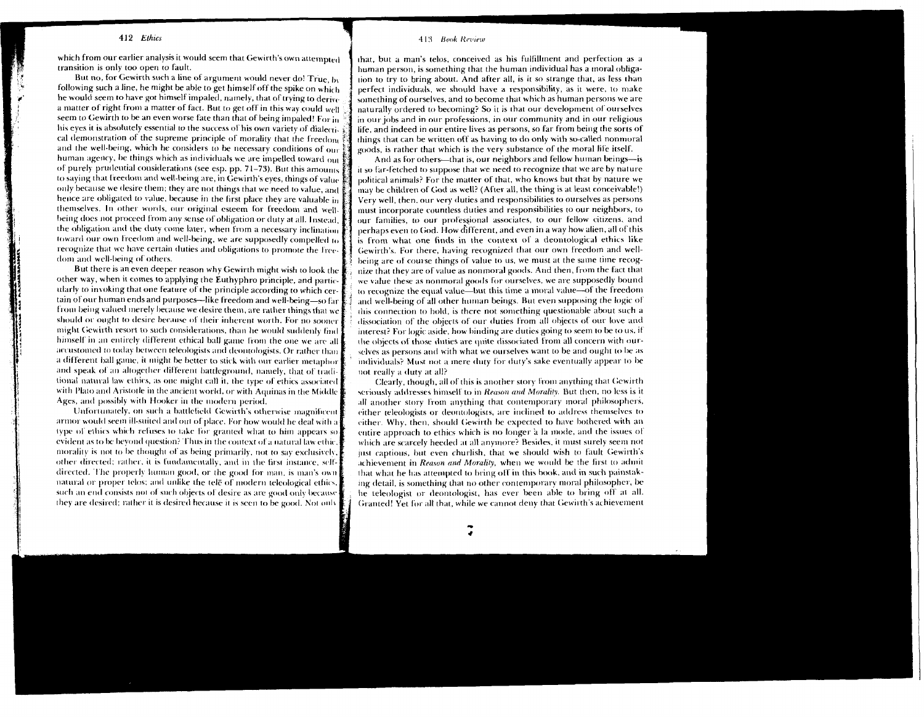which from our earlier analysis it would seem that Gewirth's own attempted transition is only too open to fault.

But no, for Gewirth such a line of argument would never do! True, by following such a line, he might be able to get himself off the spike on which he would seem to have got himself impaled, namely, that of trying to derive a matter of right from a matter of fact. But to get off in this way could well seem to Gewirth to be an even worse fate than that of being impaled! For in his eves it is absolutely essential to the success of his own variety of dialectical demonstration of the supreme principle of morality that the freedom and the well-being, which he considers to be necessary conditions of our human agency, be things which as individuals we are impelled toward our  $\frac{6}{5}$ of purely prudential considerations (see esp. pp. 71-73). But this amounts to saying that freedom and well-being are, in Gewirth's eyes, things of value only because we desire them; they are not things that we need to value, and hence are obligated to value, because in the first place they are valuable in themselves. In other words, our original esteem for freedom and wellbeing does not proceed from any sense of obligation or duty at all. Instead. the obligation and the duty come later, when from a necessary inclination toward our own freedom and well-being, we are supposedly compelled to recognize that we have certain duties and obligations to promote the freedom and well-being of others.

But there is an even deeper reason why Gewirth might wish to look the other way, when it comes to applying the Euthyphro principle, and particularly to invoking that one feature of the principle according to which certain of our human ends and purposes—like freedom and well-being—so far from being valued merely because we desire them, are rather things that we should or ought to desire because of their inherent worth. For no sooner might Gewirth resort to such considerations, than he would suddenly find himself in an entirely different ethical ball game from the one we are all accustomed to today between teleologists and deontologists. Or rather than a different ball game, it might be better to stick with our earlier metaphor and speak of an altogether different battleground, namely, that of traditional natural law ethics, as one might call it, the type of ethics associated. with Plato and Aristotle in the ancient world, or with Aminas in the Middle! Ages, and possibly with Hooker in the modern period.

Unfortunately, on such a battlefield Gewirth's otherwise magnificent armor would seem ill-suited and out of place. For how would he deal with a type of ethics which refuses to take for granted what to him appears so evident as to be beyond question? Thus in the context of a natural law ethic. morality is not to be thought of as being primarily, not to say exclusively. other directed; rather, it is fundamentally, and in the first instance, selfdirected. The properly human good, or the good for man, is man's own natural or proper telos; and unlike the tele of modern teleological ethics such an end consists not of such objects of desire as are good only because they are desired; rather it is desired hecause it is seen to be good. Not only

#### 413 Book Review

that, but a man's telos, conceived as his fulfillment and perfection as a human person, is something that the human individual has a moral obligation to try to bring about. And after all, is it so strange that, as less than perfect individuals, we should have a responsibility, as it were, to make something of ourselves, and to become that which as human persons we are naturally ordered to becoming? So it is that our development of ourselves in our jobs and in our professions, in our community and in our religious life, and indeed in our entire lives as persons, so far from being the sorts of things that can be written off as having to do only with so-called nonmoral goods, is rather that which is the very substance of the moral life itself.

And as for others-that is, our neighbors and fellow human beings-is it so far-fetched to suppose that we need to recognize that we are by nature political animals? For the matter of that, who knows but that by nature we may be children of God as well? (After all, the thing is at least conceivable!) Very well, then, our very duties and responsibilities to ourselves as persons must incorporate countless duties and responsibilities to our neighbors, to our families, to our professional associates, to our fellow citizens, and perhaps even to God. How different, and even in a way how alien, all of this is from what one finds in the context of a deontological ethics like Gewirth's. For there, having recognized that our own freedom and wellbeing are of course things of value to us, we must at the same time recognize that they are of value as nonmoral goods. And then, from the fact that we value these as nonmoral goods for ourselves, we are supposedly bound to recognize the equal value—but this time a moral value—of the freedom and well-being of all other human beings. But even supposing the logic of this connection to hold, is there not something questionable about such a dissociation of the objects of our duties from all objects of our love and interest? For logic aside, how binding are duties going to seem to be to us, if the objects of those duties are quite dissociated from all concern with ourselves as persons and with what we ourselves want to be and ought to be as individuals? Must not a mere duty for duty's sake eventually appear to be not really a duty at all?

Clearly, though, all of this is another story from anything that Gewirth seriously addresses himself to in Reason and Morality. But then, no less is it all another story from anything that contemporary moral philosophers, either teleologists or deontologists, are inclined to address themselves to either. Why, then, should Gewirth be expected to have bothered with an entire approach to ethics which is no longer à la mode, and the issues of which are scarcely heeded at all anymore? Besides, it must surely seem not just captious, but even churlish, that we should wish to fault Gewirth's achievement in Reason and Morality, when we would be the first to admit that what he has attempted to bring off in this book, and in such painstaking detail, is something that no other contemporary moral philosopher, be he teleologist or deontologist, has ever been able to bring off at all. Granted! Yet for all that, while we cannot deny that Gewirth's achievement